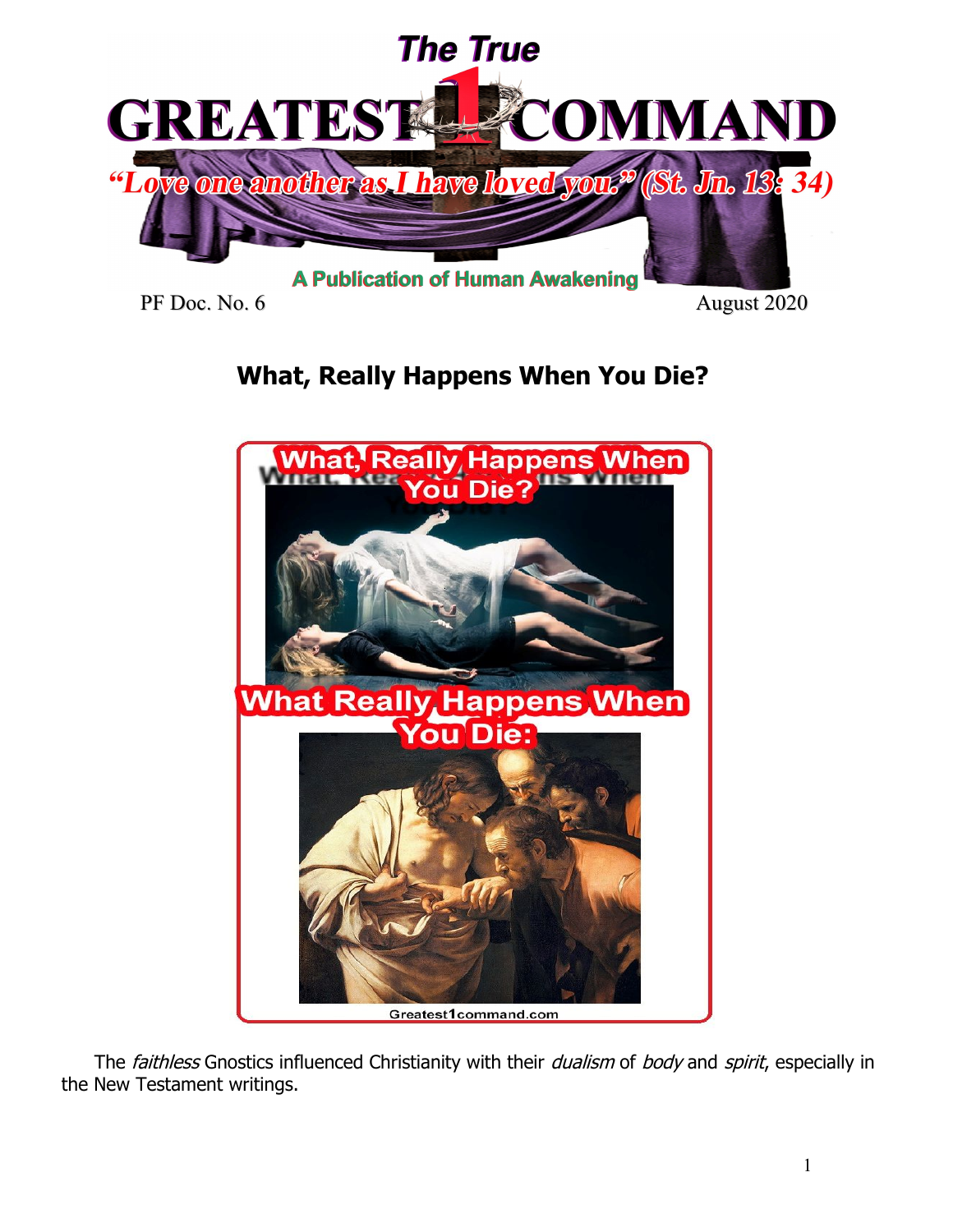

PF Doc. No. 6 August 2020

# **What, Really Happens When You Die?**



The faithless Gnostics influenced Christianity with their dualism of body and spirit, especially in the New Testament writings.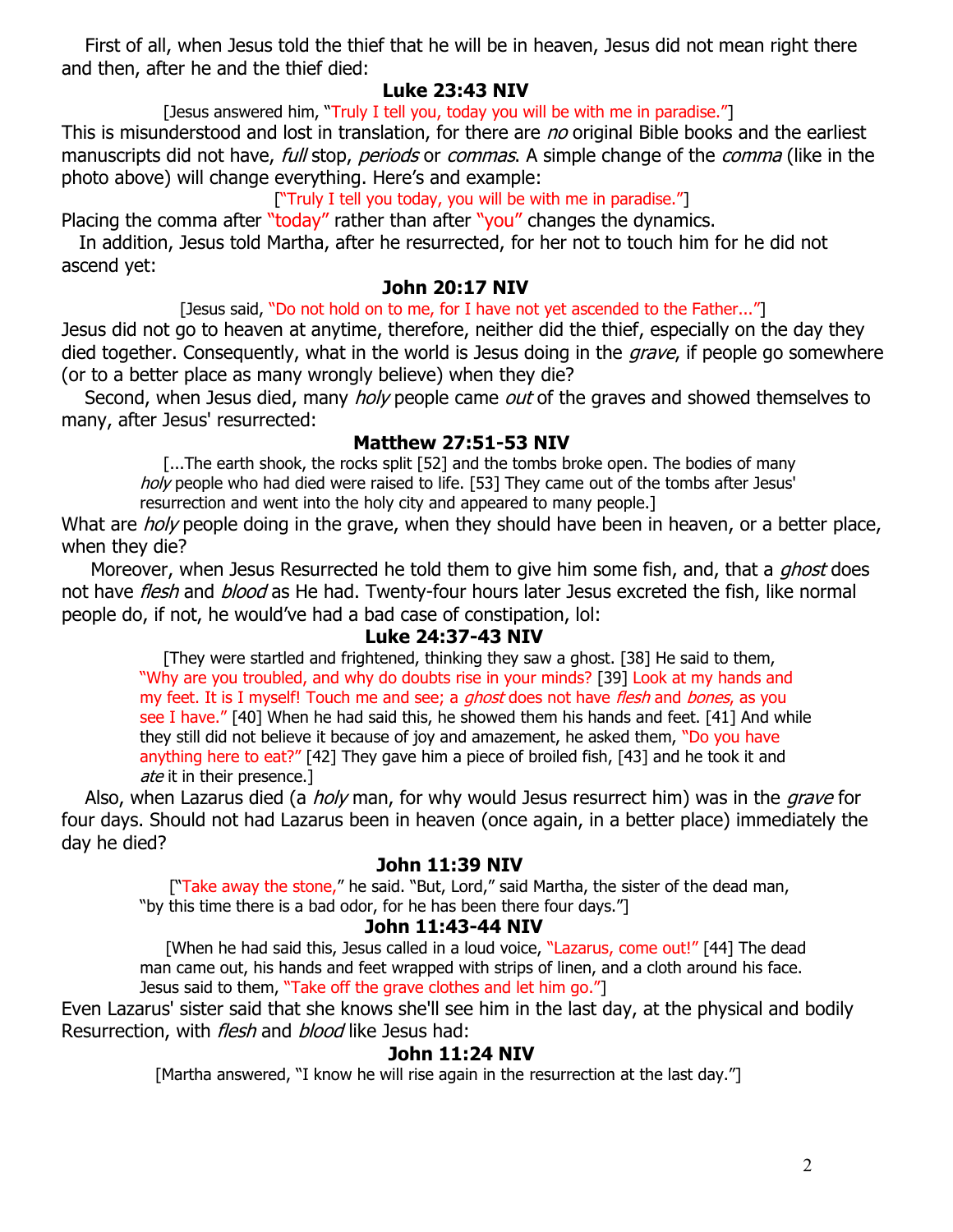First of all, when Jesus told the thief that he will be in heaven, Jesus did not mean right there and then, after he and the thief died:

#### **Luke 23:43 NIV**

[Jesus answered him, "Truly I tell you, today you will be with me in paradise."]

This is misunderstood and lost in translation, for there are no original Bible books and the earliest manuscripts did not have, full stop, periods or commas. A simple change of the comma (like in the photo above) will change everything. Here's and example:

["Truly I tell you today, you will be with me in paradise."]

Placing the comma after "today" rather than after "you" changes the dynamics.

 In addition, Jesus told Martha, after he resurrected, for her not to touch him for he did not ascend yet:

#### **John 20:17 NIV**

[Jesus said, "Do not hold on to me, for I have not yet ascended to the Father..."]

Jesus did not go to heaven at anytime, therefore, neither did the thief, especially on the day they died together. Consequently, what in the world is Jesus doing in the *grave*, if people go somewhere (or to a better place as many wrongly believe) when they die?

Second, when Jesus died, many *holy* people came *out* of the graves and showed themselves to many, after Jesus' resurrected:

### **Matthew 27:51-53 NIV**

[...The earth shook, the rocks split [52] and the tombs broke open. The bodies of many holy people who had died were raised to life. [53] They came out of the tombs after Jesus' resurrection and went into the holy city and appeared to many people.]

What are *holy* people doing in the grave, when they should have been in heaven, or a better place, when they die?

Moreover, when Jesus Resurrected he told them to give him some fish, and, that a *ghost* does not have *flesh* and *blood* as He had. Twenty-four hours later Jesus excreted the fish, like normal people do, if not, he would've had a bad case of constipation, lol:

### **Luke 24:37-43 NIV**

 [They were startled and frightened, thinking they saw a ghost. [38] He said to them, "Why are you troubled, and why do doubts rise in your minds? [39] Look at my hands and my feet. It is I myself! Touch me and see; a *ghost* does not have *flesh* and *bones*, as you see I have." [40] When he had said this, he showed them his hands and feet. [41] And while they still did not believe it because of joy and amazement, he asked them, "Do you have anything here to eat?" [42] They gave him a piece of broiled fish, [43] and he took it and ate it in their presence.]

Also, when Lazarus died (a *holy* man, for why would Jesus resurrect him) was in the *grave* for four days. Should not had Lazarus been in heaven (once again, in a better place) immediately the day he died?

### **John 11:39 NIV**

["Take away the stone," he said. "But, Lord," said Martha, the sister of the dead man, "by this time there is a bad odor, for he has been there four days."]

### **John 11:43-44 NIV**

 [When he had said this, Jesus called in a loud voice, "Lazarus, come out!" [44] The dead man came out, his hands and feet wrapped with strips of linen, and a cloth around his face. Jesus said to them, "Take off the grave clothes and let him go."]

Even Lazarus' sister said that she knows she'll see him in the last day, at the physical and bodily Resurrection, with *flesh* and *blood* like Jesus had:

### **John 11:24 NIV**

[Martha answered, "I know he will rise again in the resurrection at the last day."]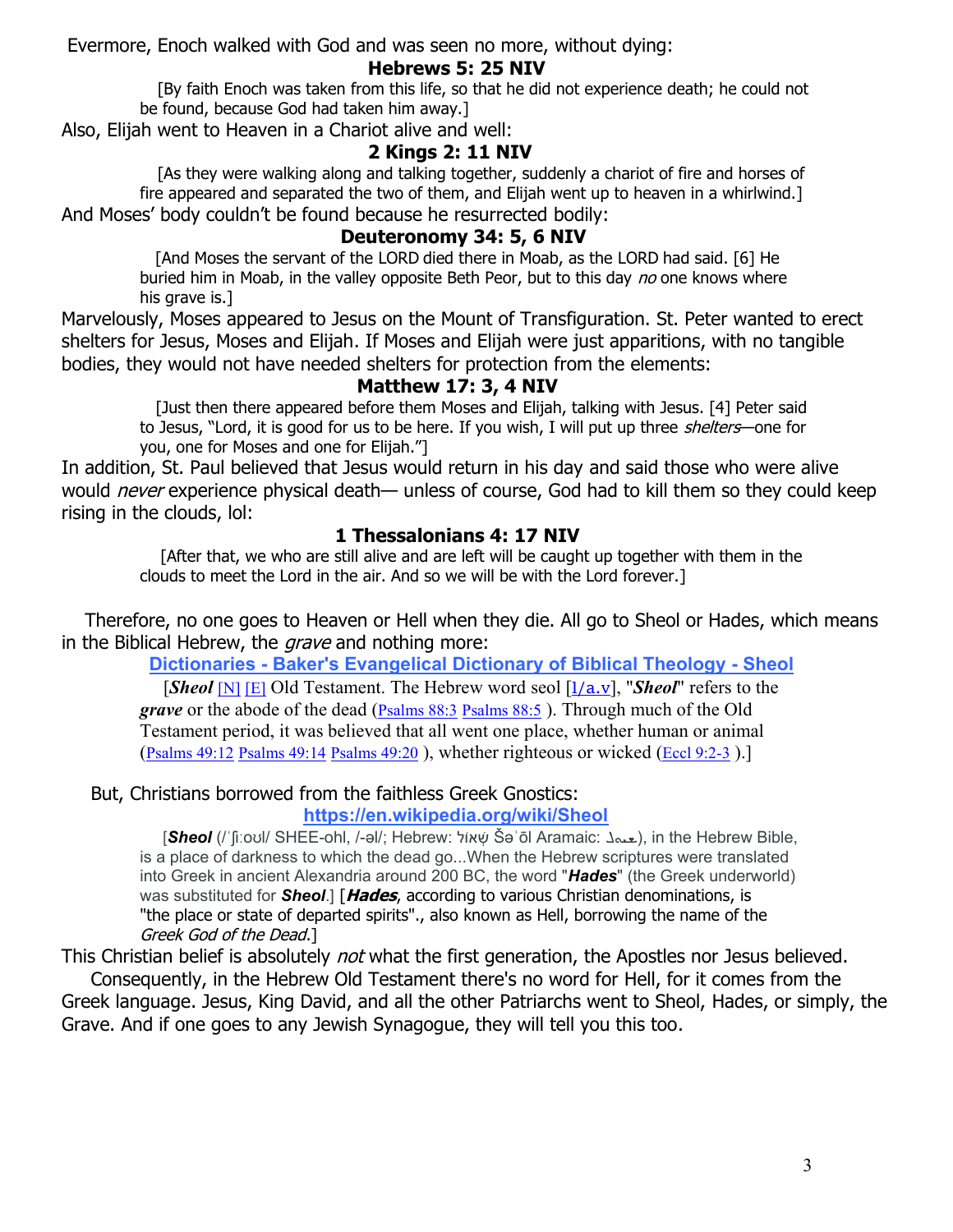Evermore, Enoch walked with God and was seen no more, without dying:

#### **Hebrews 5: 25 NIV**

 [By faith Enoch was taken from this life, so that he did not experience death; he could not be found, because God had taken him away.]

Also, Elijah went to Heaven in a Chariot alive and well:

# **2 Kings 2: 11 NIV**

 [As they were walking along and talking together, suddenly a chariot of fire and horses of fire appeared and separated the two of them, and Elijah went up to heaven in a whirlwind.] And Moses' body couldn't be found because he resurrected bodily:

### **Deuteronomy 34: 5, 6 NIV**

 [And Moses the servant of the LORD died there in Moab, as the LORD had said. [6] He buried him in Moab, in the valley opposite Beth Peor, but to this day no one knows where his grave is.]

Marvelously, Moses appeared to Jesus on the Mount of Transfiguration. St. Peter wanted to erect shelters for Jesus, Moses and Elijah. If Moses and Elijah were just apparitions, with no tangible bodies, they would not have needed shelters for protection from the elements:

### **Matthew 17: 3, 4 NIV**

 [Just then there appeared before them Moses and Elijah, talking with Jesus. [4] Peter said to Jesus, "Lord, it is good for us to be here. If you wish, I will put up three *shelters*—one for you, one for Moses and one for Elijah."]

In addition, St. Paul believed that Jesus would return in his day and said those who were alive would *never* experience physical death— unless of course, God had to kill them so they could keep rising in the clouds, lol:

### **1 Thessalonians 4: 17 NIV**

 [After that, we who are still alive and are left will be caught up together with them in the clouds to meet the Lord in the air. And so we will be with the Lord forever.]

 Therefore, no one goes to Heaven or Hell when they die. All go to Sheol or Hades, which means in the Biblical Hebrew, the *grave* and nothing more:

**Dictionaries - Baker's Evangelical Dictionary of Biblical Theology - Sheol**

[*Sheol* [N] [E] Old Testament. The Hebrew word seol [l/a.v], "*Sheol*" refers to the *grave* or the abode of the dead (Psalms 88:3 Psalms 88:5). Through much of the Old Testament period, it was believed that all went one place, whether human or animal (Psalms 49:12 Psalms 49:14 Psalms 49:20 ), whether righteous or wicked (Eccl 9:2-3 ).]

# But, Christians borrowed from the faithless Greek Gnostics:

### **https://en.wikipedia.org/wiki/Sheol**

[*Sheol* (/ˈʃiːoʊl/ SHEE-ohl, /-əl/; Hebrew: אוֹלׁ ְש Šəʾōl Aramaic: ܠ१ॳখ), in the Hebrew Bible, is a place of darkness to which the dead go...When the Hebrew scriptures were translated into Greek in ancient Alexandria around 200 BC, the word "*Hades*" (the Greek underworld) was substituted for *Sheol*.] [**Hades**, according to various Christian denominations, is "the place or state of departed spirits"., also known as Hell, borrowing the name of the Greek God of the Dead.]

This Christian belief is absolutely *not* what the first generation, the Apostles nor Jesus believed.

 Consequently, in the Hebrew Old Testament there's no word for Hell, for it comes from the Greek language. Jesus, King David, and all the other Patriarchs went to Sheol, Hades, or simply, the Grave. And if one goes to any Jewish Synagogue, they will tell you this too.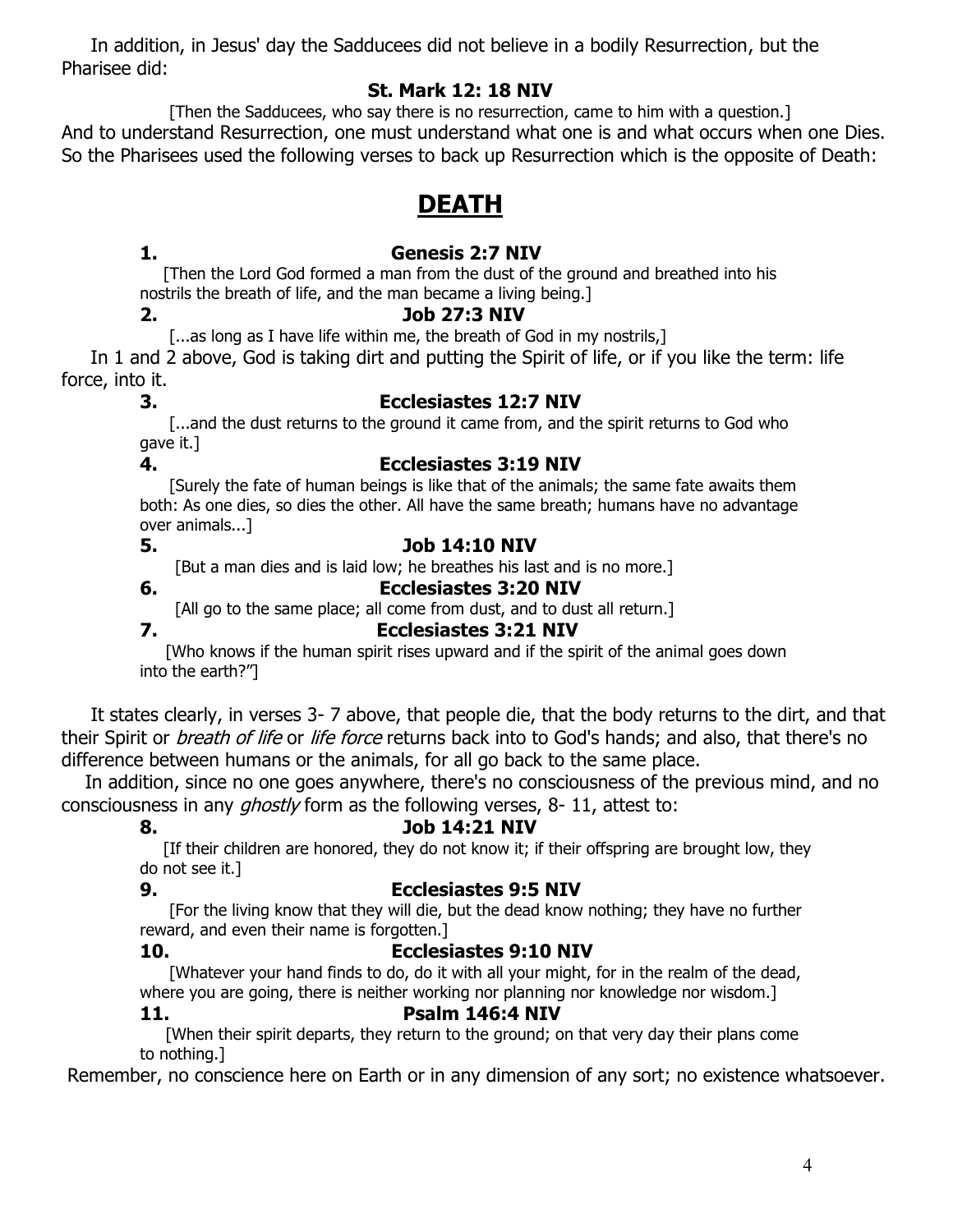In addition, in Jesus' day the Sadducees did not believe in a bodily Resurrection, but the Pharisee did:

#### **St. Mark 12: 18 NIV**

 [Then the Sadducees, who say there is no resurrection, came to him with a question.] And to understand Resurrection, one must understand what one is and what occurs when one Dies. So the Pharisees used the following verses to back up Resurrection which is the opposite of Death:

# **DEATH**

### **1. Genesis 2:7 NIV**

 [Then the Lord God formed a man from the dust of the ground and breathed into his nostrils the breath of life, and the man became a living being.]

# **2. Job 27:3 NIV**

[...as long as I have life within me, the breath of God in my nostrils,]

 In 1 and 2 above, God is taking dirt and putting the Spirit of life, or if you like the term: life force, into it.

# **3. Ecclesiastes 12:7 NIV**

 [...and the dust returns to the ground it came from, and the spirit returns to God who gave it.]

### **4. Ecclesiastes 3:19 NIV**

 [Surely the fate of human beings is like that of the animals; the same fate awaits them both: As one dies, so dies the other. All have the same breath; humans have no advantage over animals...]

# **5. Job 14:10 NIV**

[But a man dies and is laid low; he breathes his last and is no more.]

### **6. Ecclesiastes 3:20 NIV**

[All go to the same place; all come from dust, and to dust all return.]

# **7. Ecclesiastes 3:21 NIV**

 [Who knows if the human spirit rises upward and if the spirit of the animal goes down into the earth?"]

 It states clearly, in verses 3- 7 above, that people die, that the body returns to the dirt, and that their Spirit or *breath of life* or *life force* returns back into to God's hands; and also, that there's no difference between humans or the animals, for all go back to the same place.

 In addition, since no one goes anywhere, there's no consciousness of the previous mind, and no consciousness in any *ghostly* form as the following verses, 8-11, attest to:

# **8. Job 14:21 NIV**

[If their children are honored, they do not know it; if their offspring are brought low, they do not see it.]

# **9. Ecclesiastes 9:5 NIV**

 [For the living know that they will die, but the dead know nothing; they have no further reward, and even their name is forgotten.]

# **10. Ecclesiastes 9:10 NIV**

 [Whatever your hand finds to do, do it with all your might, for in the realm of the dead, where you are going, there is neither working nor planning nor knowledge nor wisdom.] **11. Psalm 146:4 NIV**

 [When their spirit departs, they return to the ground; on that very day their plans come to nothing.]

Remember, no conscience here on Earth or in any dimension of any sort; no existence whatsoever.